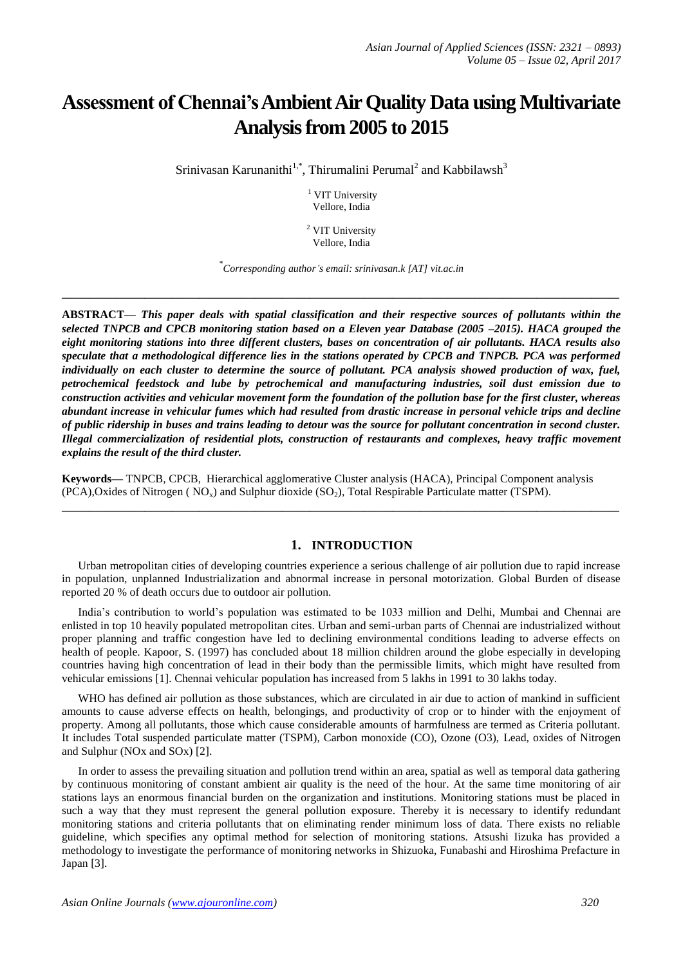# **Assessment of Chennai's Ambient Air Quality Data using Multivariate Analysis from 2005 to 2015**

Srinivasan Karunanithi $1, 1, 1$ , Thirumalini Perumal<sup>2</sup> and Kabbilawsh<sup>3</sup>

<sup>1</sup> VIT University Vellore, India

<sup>2</sup> VIT University Vellore, India

\* *Corresponding author's email: srinivasan.k [AT] vit.ac.in*

**\_\_\_\_\_\_\_\_\_\_\_\_\_\_\_\_\_\_\_\_\_\_\_\_\_\_\_\_\_\_\_\_\_\_\_\_\_\_\_\_\_\_\_\_\_\_\_\_\_\_\_\_\_\_\_\_\_\_\_\_\_\_\_\_\_\_\_\_\_\_\_\_\_\_\_\_\_\_\_\_\_**

**ABSTRACT—** *This paper deals with spatial classification and their respective sources of pollutants within the selected TNPCB and CPCB monitoring station based on a Eleven year Database (2005 –2015). HACA grouped the eight monitoring stations into three different clusters, bases on concentration of air pollutants. HACA results also speculate that a methodological difference lies in the stations operated by CPCB and TNPCB. PCA was performed individually on each cluster to determine the source of pollutant. PCA analysis showed production of wax, fuel, petrochemical feedstock and lube by petrochemical and manufacturing industries, soil dust emission due to construction activities and vehicular movement form the foundation of the pollution base for the first cluster, whereas abundant increase in vehicular fumes which had resulted from drastic increase in personal vehicle trips and decline of public ridership in buses and trains leading to detour was the source for pollutant concentration in second cluster. Illegal commercialization of residential plots, construction of restaurants and complexes, heavy traffic movement explains the result of the third cluster.*

**Keywords—** TNPCB, CPCB, Hierarchical agglomerative Cluster analysis (HACA), Principal Component analysis  $(PCA)$ , Oxides of Nitrogen  $(NO<sub>x</sub>)$  and Sulphur dioxide  $(SO<sub>2</sub>)$ , Total Respirable Particulate matter (TSPM).

# **1. INTRODUCTION**

Urban metropolitan cities of developing countries experience a serious challenge of air pollution due to rapid increase in population, unplanned Industrialization and abnormal increase in personal motorization. Global Burden of disease reported 20 % of death occurs due to outdoor air pollution.

**\_\_\_\_\_\_\_\_\_\_\_\_\_\_\_\_\_\_\_\_\_\_\_\_\_\_\_\_\_\_\_\_\_\_\_\_\_\_\_\_\_\_\_\_\_\_\_\_\_\_\_\_\_\_\_\_\_\_\_\_\_\_\_\_\_\_\_\_\_\_\_\_\_\_\_\_\_\_\_\_\_**

India's contribution to world's population was estimated to be 1033 million and Delhi, Mumbai and Chennai are enlisted in top 10 heavily populated metropolitan cites. Urban and semi-urban parts of Chennai are industrialized without proper planning and traffic congestion have led to declining environmental conditions leading to adverse effects on health of people. Kapoor, S. (1997) has concluded about 18 million children around the globe especially in developing countries having high concentration of lead in their body than the permissible limits, which might have resulted from vehicular emissions [1]. Chennai vehicular population has increased from 5 lakhs in 1991 to 30 lakhs today.

WHO has defined air pollution as those substances, which are circulated in air due to action of mankind in sufficient amounts to cause adverse effects on health, belongings, and productivity of crop or to hinder with the enjoyment of property. Among all pollutants, those which cause considerable amounts of harmfulness are termed as Criteria pollutant. It includes Total suspended particulate matter (TSPM), Carbon monoxide (CO), Ozone (O3), Lead, oxides of Nitrogen and Sulphur (NOx and SOx) [2].

In order to assess the prevailing situation and pollution trend within an area, spatial as well as temporal data gathering by continuous monitoring of constant ambient air quality is the need of the hour. At the same time monitoring of air stations lays an enormous financial burden on the organization and institutions. Monitoring stations must be placed in such a way that they must represent the general pollution exposure. Thereby it is necessary to identify redundant monitoring stations and criteria pollutants that on eliminating render minimum loss of data. There exists no reliable guideline, which specifies any optimal method for selection of monitoring stations. Atsushi Iizuka has provided a methodology to investigate the performance of monitoring networks in Shizuoka, Funabashi and Hiroshima Prefacture in Japan [3].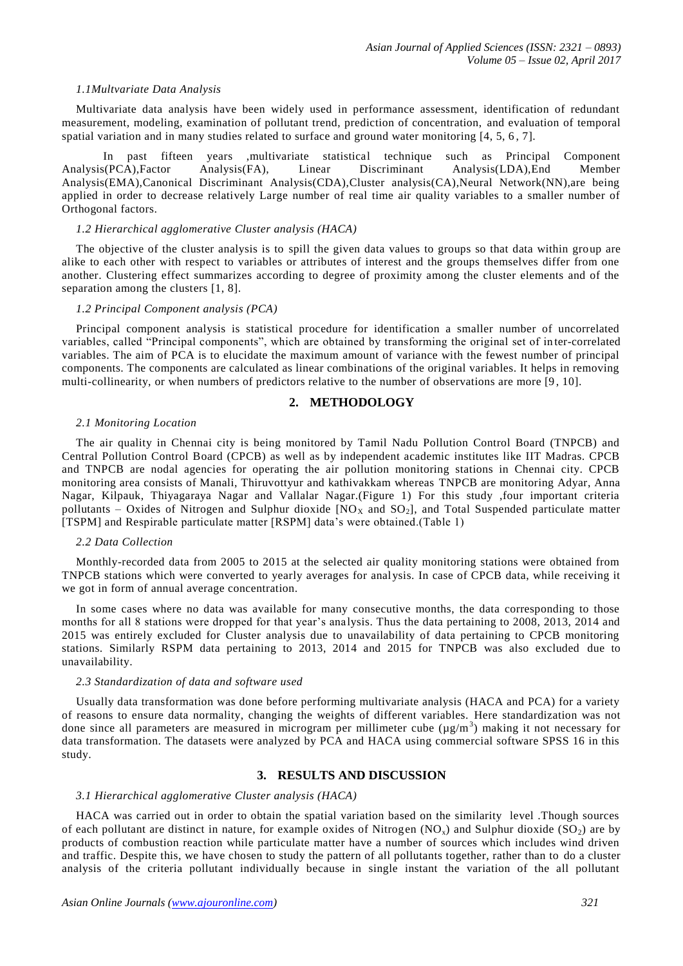## *1.1Multvariate Data Analysis*

Multivariate data analysis have been widely used in performance assessment, identification of redundant measurement, modeling, examination of pollutant trend, prediction of concentration, and evaluation of temporal spatial variation and in many studies related to surface and ground water monitoring [4, 5, 6 , 7].

In past fifteen years ,multivariate statistical technique such as Principal Component <br>  $S(PCA)$ , Factor Analysis(FA), Linear Discriminant Analysis(LDA), End Member Analysis(PCA),Factor Analysis(FA), Linear Discriminant Analysis(LDA),End Analysis(EMA),Canonical Discriminant Analysis(CDA),Cluster analysis(CA),Neural Network(NN),are being applied in order to decrease relatively Large number of real time air quality variables to a smaller number of Orthogonal factors.

## *1.2 Hierarchical agglomerative Cluster analysis (HACA)*

The objective of the cluster analysis is to spill the given data values to groups so that data within group are alike to each other with respect to variables or attributes of interest and the groups themselves differ from one another. Clustering effect summarizes according to degree of proximity among the cluster elements and of the separation among the clusters [1, 8].

## *1.2 Principal Component analysis (PCA)*

Principal component analysis is statistical procedure for identification a smaller number of uncorrelated variables, called "Principal components", which are obtained by transforming the original set of in ter-correlated variables. The aim of PCA is to elucidate the maximum amount of variance with the fewest number of principal components. The components are calculated as linear combinations of the original variables. It helps in removing multi-collinearity, or when numbers of predictors relative to the number of observations are more [9 , 10].

# **2. METHODOLOGY**

## *2.1 Monitoring Location*

The air quality in Chennai city is being monitored by Tamil Nadu Pollution Control Board (TNPCB) and Central Pollution Control Board (CPCB) as well as by independent academic institutes like IIT Madras. CPCB and TNPCB are nodal agencies for operating the air pollution monitoring stations in Chennai city. CPCB monitoring area consists of Manali, Thiruvottyur and kathivakkam whereas TNPCB are monitoring Adyar, Anna Nagar, Kilpauk, Thiyagaraya Nagar and Vallalar Nagar.(Figure 1) For this study ,four important criteria pollutants – Oxides of Nitrogen and Sulphur dioxide  $[NO<sub>X</sub>$  and  $SO<sub>2</sub>]$ , and Total Suspended particulate matter [TSPM] and Respirable particulate matter [RSPM] data's were obtained.(Table 1)

## *2.2 Data Collection*

Monthly-recorded data from 2005 to 2015 at the selected air quality monitoring stations were obtained from TNPCB stations which were converted to yearly averages for analysis. In case of CPCB data, while receiving it we got in form of annual average concentration.

In some cases where no data was available for many consecutive months, the data corresponding to those months for all 8 stations were dropped for that year's analysis. Thus the data pertaining to 2008, 2013, 2014 and 2015 was entirely excluded for Cluster analysis due to unavailability of data pertaining to CPCB monitoring stations. Similarly RSPM data pertaining to 2013, 2014 and 2015 for TNPCB was also excluded due to unavailability.

## *2.3 Standardization of data and software used*

Usually data transformation was done before performing multivariate analysis (HACA and PCA) for a variety of reasons to ensure data normality, changing the weights of different variables. Here standardization was not done since all parameters are measured in microgram per millimeter cube  $(\mu g/m^3)$  making it not necessary for data transformation. The datasets were analyzed by PCA and HACA using commercial software SPSS 16 in this study.

# **3. RESULTS AND DISCUSSION**

## *3.1 Hierarchical agglomerative Cluster analysis (HACA)*

HACA was carried out in order to obtain the spatial variation based on the similarity level .Though sources of each pollutant are distinct in nature, for example oxides of Nitrogen (NO<sub>x</sub>) and Sulphur dioxide (SO<sub>2</sub>) are by products of combustion reaction while particulate matter have a number of sources which includes wind driven and traffic. Despite this, we have chosen to study the pattern of all pollutants together, rather than to do a cluster analysis of the criteria pollutant individually because in single instant the variation of the all pollutant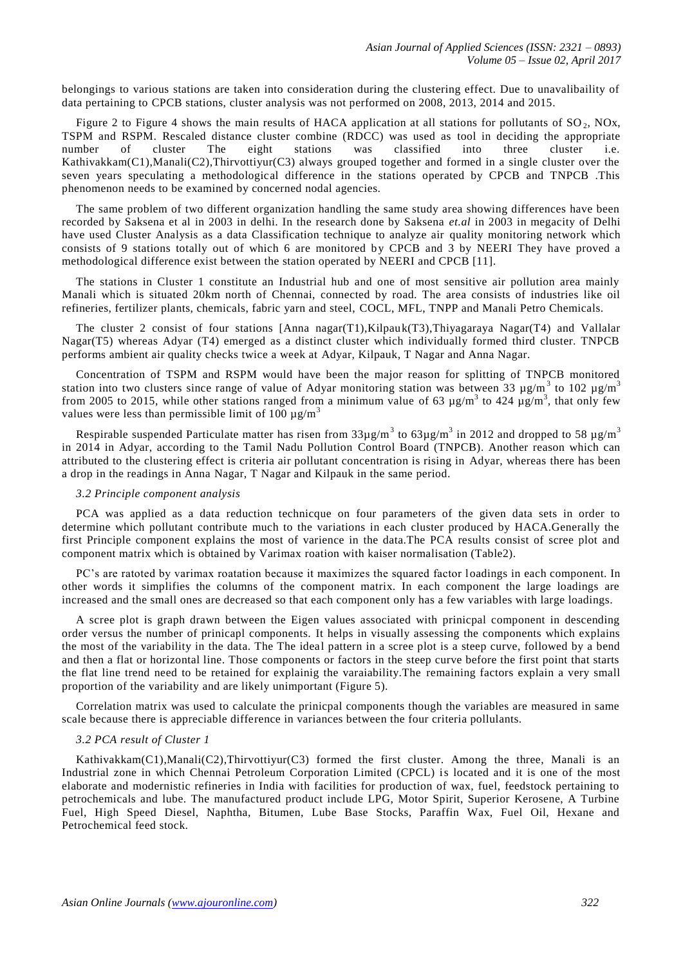belongings to various stations are taken into consideration during the clustering effect. Due to unavalibaility of data pertaining to CPCB stations, cluster analysis was not performed on 2008, 2013, 2014 and 2015.

Figure 2 to Figure 4 shows the main results of HACA application at all stations for pollutants of  $SO_2$ , NOx, TSPM and RSPM. Rescaled distance cluster combine (RDCC) was used as tool in deciding the appropriate number of cluster The eight stations was classified into three cluster i.e. Kathivakkam(C1),Manali(C2),Thirvottiyur(C3) always grouped together and formed in a single cluster over the seven years speculating a methodological difference in the stations operated by CPCB and TNPCB .This phenomenon needs to be examined by concerned nodal agencies.

The same problem of two different organization handling the same study area showing differences have been recorded by Saksena et al in 2003 in delhi. In the research done by Saksena *et.al* in 2003 in megacity of Delhi have used Cluster Analysis as a data Classification technique to analyze air quality monitoring network which consists of 9 stations totally out of which 6 are monitored by CPCB and 3 by NEERI They have proved a methodological difference exist between the station operated by NEERI and CPCB [11].

The stations in Cluster 1 constitute an Industrial hub and one of most sensitive air pollution area mainly Manali which is situated 20km north of Chennai, connected by road. The area consists of industries like oil refineries, fertilizer plants, chemicals, fabric yarn and steel, COCL, MFL, TNPP and Manali Petro Chemicals.

The cluster 2 consist of four stations [Anna nagar(T1),Kilpauk(T3),Thiyagaraya Nagar(T4) and Vallalar Nagar(T5) whereas Adyar (T4) emerged as a distinct cluster which individually formed third cluster. TNPCB performs ambient air quality checks twice a week at Adyar, Kilpauk, T Nagar and Anna Nagar.

Concentration of TSPM and RSPM would have been the major reason for splitting of TNPCB monitored station into two clusters since range of value of Adyar monitoring station was between 33  $\mu$ g/m<sup>3</sup> to 102  $\mu$ g/m<sup>3</sup> from 2005 to 2015, while other stations ranged from a minimum value of 63  $\mu$ g/m<sup>3</sup> to 424  $\mu$ g/m<sup>3</sup>, that only few values were less than permissible limit of 100  $\mu$ g/m<sup>3</sup>

Respirable suspended Particulate matter has risen from  $33\mu\text{g/m}^3$  to  $63\mu\text{g/m}^3$  in 2012 and dropped to 58  $\mu\text{g/m}^3$ in 2014 in Adyar, according to the Tamil Nadu Pollution Control Board (TNPCB). Another reason which can attributed to the clustering effect is criteria air pollutant concentration is rising in Adyar, whereas there has been a drop in the readings in Anna Nagar, T Nagar and Kilpauk in the same period.

## *3.2 Principle component analysis*

PCA was applied as a data reduction technicque on four parameters of the given data sets in order to determine which pollutant contribute much to the variations in each cluster produced by HACA.Generally the first Principle component explains the most of varience in the data.The PCA results consist of scree plot and component matrix which is obtained by Varimax roation with kaiser normalisation (Table2).

PC's are ratoted by varimax roatation because it maximizes the squared factor loadings in each component. In other words it simplifies the columns of the component matrix. In each component the large loadings are increased and the small ones are decreased so that each component only has a few variables with large loadings.

A scree plot is graph drawn between the Eigen values associated with prinicpal component in descending order versus the number of prinicapl components. It helps in visually assessing the components which explains the most of the variability in the data. The The ideal pattern in a scree plot is a steep curve, followed by a bend and then a flat or horizontal line. Those components or factors in the steep curve before the first point that starts the flat line trend need to be retained for explainig the varaiability.The remaining factors explain a very small proportion of the variability and are likely unimportant (Figure 5).

Correlation matrix was used to calculate the prinicpal components though the variables are measured in same scale because there is appreciable difference in variances between the four criteria pollulants.

#### *3.2 PCA result of Cluster 1*

Kathivakkam(C1),Manali(C2),Thirvottiyur(C3) formed the first cluster. Among the three, Manali is an Industrial zone in which Chennai Petroleum Corporation Limited (CPCL) is located and it is one of the most elaborate and modernistic refineries in India with facilities for production of wax, fuel, feedstock pertaining to petrochemicals and lube. The manufactured product include LPG, Motor Spirit, Superior Kerosene, A Turbine Fuel, High Speed Diesel, Naphtha, Bitumen, Lube Base Stocks, Paraffin Wax, Fuel Oil, Hexane and Petrochemical feed stock.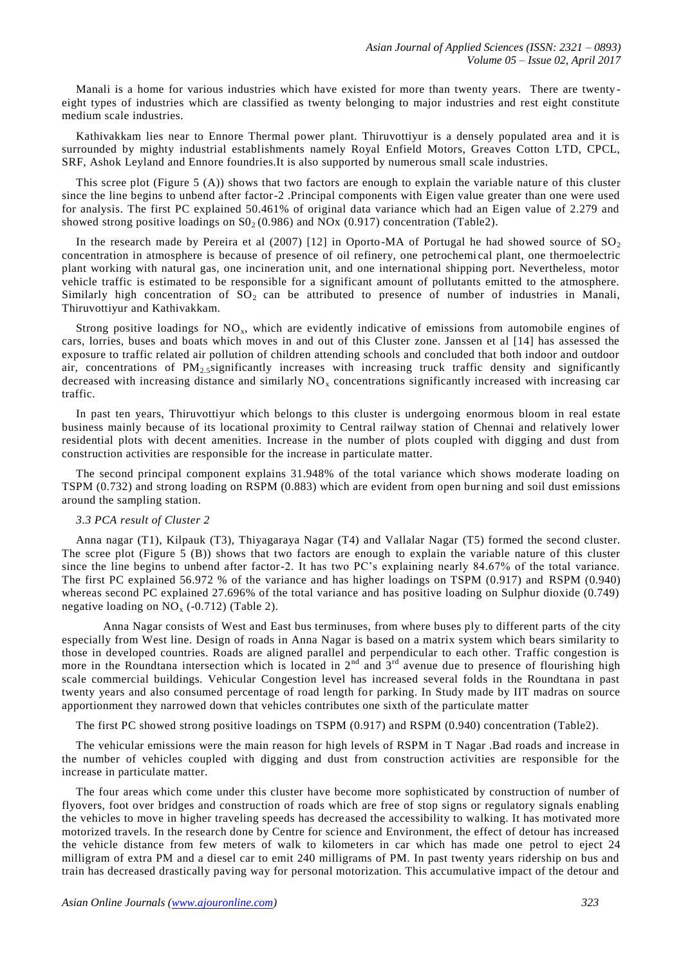Manali is a home for various industries which have existed for more than twenty years. There are twenty eight types of industries which are classified as twenty belonging to major industries and rest eight constitute medium scale industries.

Kathivakkam lies near to Ennore Thermal power plant. Thiruvottiyur is a densely populated area and it is surrounded by mighty industrial establishments namely Royal Enfield Motors, Greaves Cotton LTD, CPCL, SRF, Ashok Leyland and Ennore foundries.It is also supported by numerous small scale industries.

This scree plot (Figure 5 (A)) shows that two factors are enough to explain the variable nature of this cluster since the line begins to unbend after factor-2 .Principal components with Eigen value greater than one were used for analysis. The first PC explained 50.461% of original data variance which had an Eigen value of 2.279 and showed strong positive loadings on  $S_0$  (0.986) and NOx (0.917) concentration (Table2).

In the research made by Pereira et al  $(2007)$  [12] in Oporto-MA of Portugal he had showed source of  $SO_2$ concentration in atmosphere is because of presence of oil refinery, one petrochemi cal plant, one thermoelectric plant working with natural gas, one incineration unit, and one international shipping port. Nevertheless, motor vehicle traffic is estimated to be responsible for a significant amount of pollutants emitted to the atmosphere. Similarly high concentration of  $SO_2$  can be attributed to presence of number of industries in Manali, Thiruvottiyur and Kathivakkam.

Strong positive loadings for  $NO<sub>x</sub>$ , which are evidently indicative of emissions from automobile engines of cars, lorries, buses and boats which moves in and out of this Cluster zone. Janssen et al [14] has assessed the exposure to traffic related air pollution of children attending schools and concluded that both indoor and outdoor air, concentrations of  $PM_{2.5}$ significantly increases with increasing truck traffic density and significantly decreased with increasing distance and similarly  $NO<sub>x</sub>$  concentrations significantly increased with increasing car traffic.

In past ten years, Thiruvottiyur which belongs to this cluster is undergoing enormous bloom in real estate business mainly because of its locational proximity to Central railway station of Chennai and relatively lower residential plots with decent amenities. Increase in the number of plots coupled with digging and dust from construction activities are responsible for the increase in particulate matter.

The second principal component explains 31.948% of the total variance which shows moderate loading on TSPM (0.732) and strong loading on RSPM (0.883) which are evident from open bur ning and soil dust emissions around the sampling station.

# *3.3 PCA result of Cluster 2*

Anna nagar (T1), Kilpauk (T3), Thiyagaraya Nagar (T4) and Vallalar Nagar (T5) formed the second cluster. The scree plot (Figure 5 (B)) shows that two factors are enough to explain the variable nature of this cluster since the line begins to unbend after factor-2. It has two PC's explaining nearly 84.67% of the total variance. The first PC explained 56.972 % of the variance and has higher loadings on TSPM (0.917) and RSPM (0.940) whereas second PC explained 27.696% of the total variance and has positive loading on Sulphur dioxide (0.749) negative loading on  $NO_x$  (-0.712) (Table 2).

Anna Nagar consists of West and East bus terminuses, from where buses ply to different parts of the city especially from West line. Design of roads in Anna Nagar is based on a matrix system which bears similarity to those in developed countries. Roads are aligned parallel and perpendicular to each other. Traffic congestion is more in the Roundtana intersection which is located in  $2<sup>nd</sup>$  and  $3<sup>rd</sup>$  avenue due to presence of flourishing high scale commercial buildings. Vehicular Congestion level has increased several folds in the Roundtana in past twenty years and also consumed percentage of road length for parking. In Study made by IIT madras on source apportionment they narrowed down that vehicles contributes one sixth of the particulate matter

The first PC showed strong positive loadings on TSPM (0.917) and RSPM (0.940) concentration (Table2).

The vehicular emissions were the main reason for high levels of RSPM in T Nagar .Bad roads and increase in the number of vehicles coupled with digging and dust from construction activities are responsible for the increase in particulate matter.

The four areas which come under this cluster have become more sophisticated by construction of number of flyovers, foot over bridges and construction of roads which are free of stop signs or regulatory signals enabling the vehicles to move in higher traveling speeds has decreased the accessibility to walking. It has motivated more motorized travels. In the research done by Centre for science and Environment, the effect of detour has increased the vehicle distance from few meters of walk to kilometers in car which has made one petrol to eject 24 milligram of extra PM and a diesel car to emit 240 milligrams of PM. In past twenty years ridership on bus and train has decreased drastically paving way for personal motorization. This accumulative impact of the detour and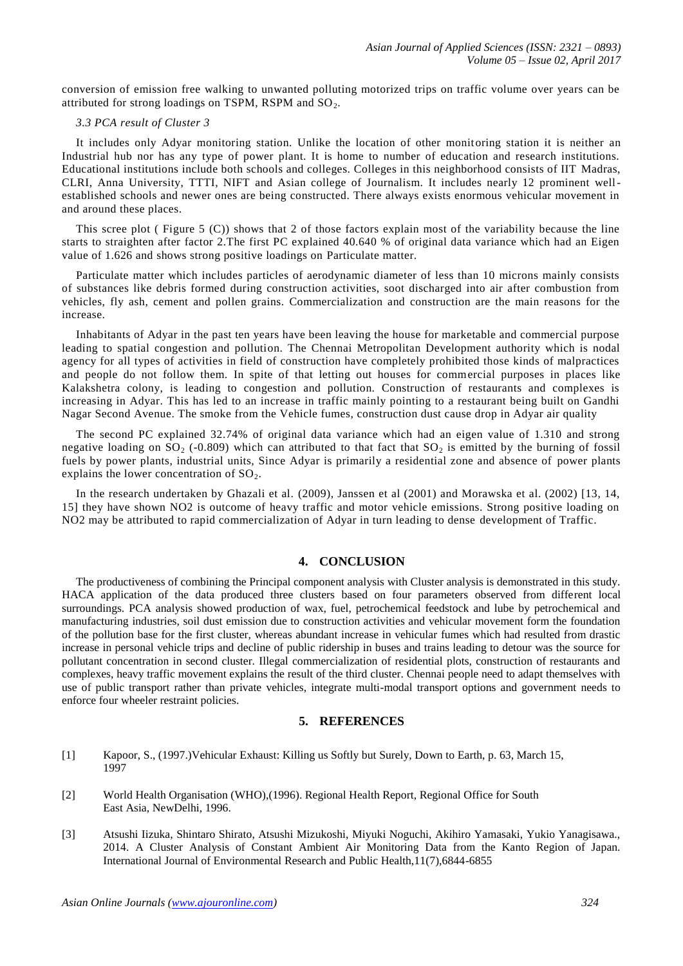conversion of emission free walking to unwanted polluting motorized trips on traffic volume over years can be attributed for strong loadings on TSPM, RSPM and  $SO<sub>2</sub>$ .

# *3.3 PCA result of Cluster 3*

It includes only Adyar monitoring station. Unlike the location of other monitoring station it is neither an Industrial hub nor has any type of power plant. It is home to number of education and research institutions. Educational institutions include both schools and colleges. Colleges in this neighborhood consists of IIT Madras, CLRI, Anna University, TTTI, NIFT and Asian college of Journalism. It includes nearly 12 prominent wellestablished schools and newer ones are being constructed. There always exists enormous vehicular movement in and around these places.

This scree plot ( Figure 5 (C)) shows that 2 of those factors explain most of the variability because the line starts to straighten after factor 2.The first PC explained 40.640 % of original data variance which had an Eigen value of 1.626 and shows strong positive loadings on Particulate matter.

Particulate matter which includes particles of aerodynamic diameter of less than 10 microns mainly consists of substances like debris formed during construction activities, soot discharged into air after combustion from vehicles, fly ash, cement and pollen grains. Commercialization and construction are the main reasons for the increase.

Inhabitants of Adyar in the past ten years have been leaving the house for marketable and commercial purpose leading to spatial congestion and pollution. The Chennai Metropolitan Development authority which is nodal agency for all types of activities in field of construction have completely prohibited those kinds of malpractices and people do not follow them. In spite of that letting out houses for commercial purposes in places like Kalakshetra colony, is leading to congestion and pollution. Construction of restaurants and complexes is increasing in Adyar. This has led to an increase in traffic mainly pointing to a restaurant being built on Gandhi Nagar Second Avenue. The smoke from the Vehicle fumes, construction dust cause drop in Adyar air quality

The second PC explained 32.74% of original data variance which had an eigen value of 1.310 and strong negative loading on  $SO_2$  (-0.809) which can attributed to that fact that  $SO_2$  is emitted by the burning of fossil fuels by power plants, industrial units, Since Adyar is primarily a residential zone and absence of power plants explains the lower concentration of  $SO<sub>2</sub>$ .

In the research undertaken by Ghazali et al. (2009), Janssen et al (2001) and Morawska et al. (2002) [13, 14, 15] they have shown NO2 is outcome of heavy traffic and motor vehicle emissions. Strong positive loading on NO2 may be attributed to rapid commercialization of Adyar in turn leading to dense development of Traffic.

# **4. CONCLUSION**

The productiveness of combining the Principal component analysis with Cluster analysis is demonstrated in this study. HACA application of the data produced three clusters based on four parameters observed from different local surroundings. PCA analysis showed production of wax, fuel, petrochemical feedstock and lube by petrochemical and manufacturing industries, soil dust emission due to construction activities and vehicular movement form the foundation of the pollution base for the first cluster, whereas abundant increase in vehicular fumes which had resulted from drastic increase in personal vehicle trips and decline of public ridership in buses and trains leading to detour was the source for pollutant concentration in second cluster. Illegal commercialization of residential plots, construction of restaurants and complexes, heavy traffic movement explains the result of the third cluster. Chennai people need to adapt themselves with use of public transport rather than private vehicles, integrate multi-modal transport options and government needs to enforce four wheeler restraint policies.

## **5. REFERENCES**

- [1] Kapoor, S., (1997.)Vehicular Exhaust: Killing us Softly but Surely, Down to Earth, p. 63, March 15, 1997
- [2] World Health Organisation (WHO),(1996). Regional Health Report, Regional Office for South East Asia, NewDelhi, 1996.
- [3] Atsushi Iizuka, Shintaro Shirato, Atsushi Mizukoshi, Miyuki Noguchi, Akihiro Yamasaki, Yukio Yanagisawa., 2014. A Cluster Analysis of Constant Ambient Air Monitoring Data from the Kanto Region of Japan. International Journal of Environmental Research and Public Health,11(7),6844-6855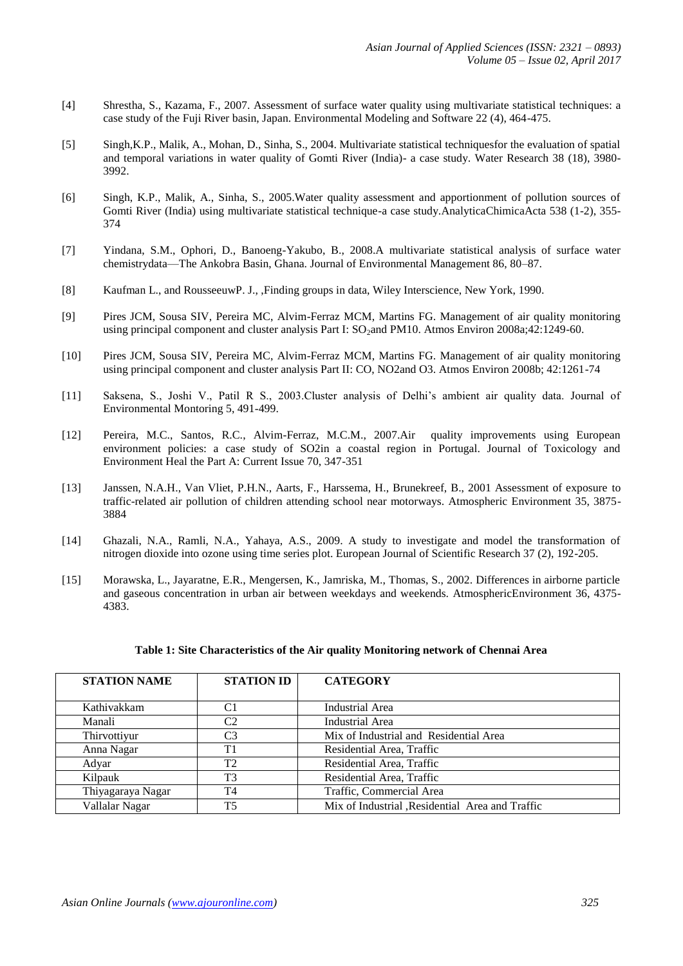- [4] Shrestha, S., Kazama, F., 2007. Assessment of surface water quality using multivariate statistical techniques: a case study of the Fuji River basin, Japan. Environmental Modeling and Software 22 (4), 464-475.
- [5] Singh,K.P., Malik, A., Mohan, D., Sinha, S., 2004. Multivariate statistical techniquesfor the evaluation of spatial and temporal variations in water quality of Gomti River (India)- a case study. Water Research 38 (18), 3980- 3992.
- [6] Singh, K.P., Malik, A., Sinha, S., 2005.Water quality assessment and apportionment of pollution sources of Gomti River (India) using multivariate statistical technique-a case study.AnalyticaChimicaActa 538 (1-2), 355- 374
- [7] Yindana, S.M., Ophori, D., Banoeng-Yakubo, B., 2008.A multivariate statistical analysis of surface water chemistrydata—The Ankobra Basin, Ghana. Journal of Environmental Management 86, 80–87.
- [8] Kaufman L., and RousseeuwP. J., ,Finding groups in data, Wiley Interscience, New York, 1990.
- [9] Pires JCM, Sousa SIV, Pereira MC, Alvim-Ferraz MCM, Martins FG. Management of air quality monitoring using principal component and cluster analysis Part I: SO<sub>2</sub>and PM10. Atmos Environ 2008a;42:1249-60.
- [10] Pires JCM, Sousa SIV, Pereira MC, Alvim-Ferraz MCM, Martins FG. Management of air quality monitoring using principal component and cluster analysis Part II: CO, NO2and O3. Atmos Environ 2008b; 42:1261-74
- [11] Saksena, S., Joshi V., Patil R S., 2003.Cluster analysis of Delhi's ambient air quality data. Journal of Environmental Montoring 5, 491-499.
- [12] Pereira, M.C., Santos, R.C., Alvim-Ferraz, M.C.M., 2007.Air quality improvements using European environment policies: a case study of SO2in a coastal region in Portugal. Journal of Toxicology and Environment Heal the Part A: Current Issue 70, 347-351
- [13] Janssen, N.A.H., Van Vliet, P.H.N., Aarts, F., Harssema, H., Brunekreef, B., 2001 Assessment of exposure to traffic-related air pollution of children attending school near motorways. Atmospheric Environment 35, 3875- 3884
- [14] Ghazali, N.A., Ramli, N.A., Yahaya, A.S., 2009. A study to investigate and model the transformation of nitrogen dioxide into ozone using time series plot. European Journal of Scientific Research 37 (2), 192-205.
- [15] Morawska, L., Jayaratne, E.R., Mengersen, K., Jamriska, M., Thomas, S., 2002. Differences in airborne particle and gaseous concentration in urban air between weekdays and weekends. AtmosphericEnvironment 36, 4375- 4383.

| <b>STATION NAME</b> | <b>STATION ID</b> | <b>CATEGORY</b>                                  |  |  |
|---------------------|-------------------|--------------------------------------------------|--|--|
|                     |                   |                                                  |  |  |
| Kathivakkam         | C1                | Industrial Area                                  |  |  |
| Manali              | C2                | <b>Industrial Area</b>                           |  |  |
| Thirvottiyur        | C3                | Mix of Industrial and Residential Area           |  |  |
| Anna Nagar          | T1                | Residential Area, Traffic                        |  |  |
| Adyar               | T <sub>2</sub>    | Residential Area, Traffic                        |  |  |
| Kilpauk             | T <sub>3</sub>    | Residential Area, Traffic                        |  |  |
| Thiyagaraya Nagar   | T <sub>4</sub>    | Traffic, Commercial Area                         |  |  |
| Vallalar Nagar      | <b>T5</b>         | Mix of Industrial , Residential Area and Traffic |  |  |

# **Table 1: Site Characteristics of the Air quality Monitoring network of Chennai Area**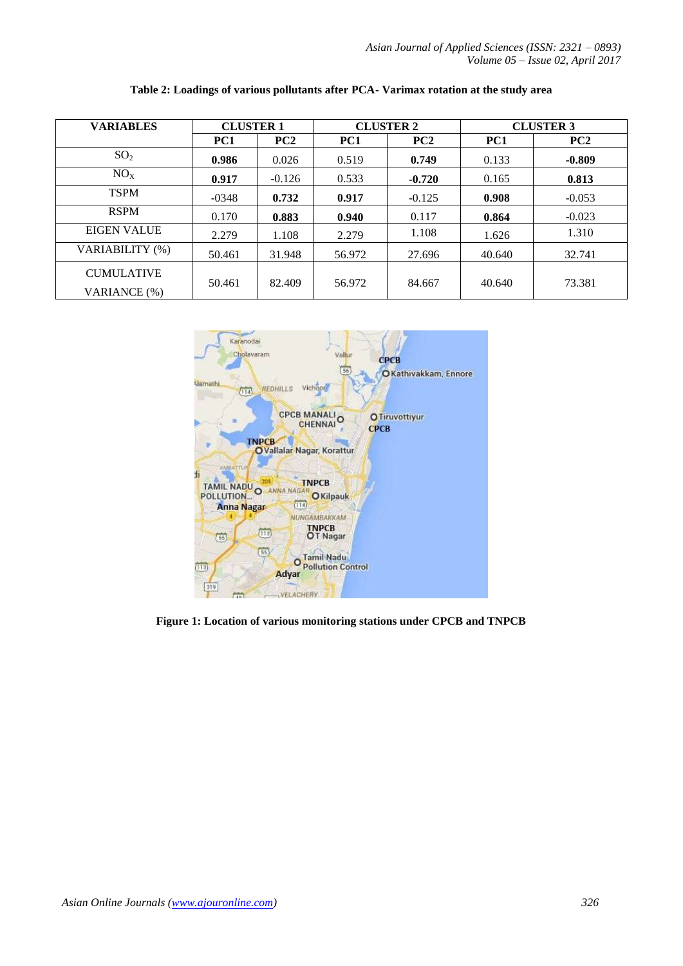*Asian Journal of Applied Sciences (ISSN: 2321 – 0893) Volume 05 – Issue 02, April 2017*

| <b>VARIABLES</b>                  | <b>CLUSTER 1</b> |          | <b>CLUSTER 2</b> |                 | <b>CLUSTER 3</b> |          |
|-----------------------------------|------------------|----------|------------------|-----------------|------------------|----------|
|                                   | PC1              | PC2      | PC1              | PC <sub>2</sub> | PC1              | PC2      |
| SO <sub>2</sub>                   | 0.986            | 0.026    | 0.519            | 0.749           | 0.133            | $-0.809$ |
| NO <sub>x</sub>                   | 0.917            | $-0.126$ | 0.533            | $-0.720$        | 0.165            | 0.813    |
| <b>TSPM</b>                       | $-0348$          | 0.732    | 0.917            | $-0.125$        | 0.908            | $-0.053$ |
| <b>RSPM</b>                       | 0.170            | 0.883    | 0.940            | 0.117           | 0.864            | $-0.023$ |
| EIGEN VALUE                       | 2.279            | 1.108    | 2.279            | 1.108           | 1.626            | 1.310    |
| VARIABILITY (%)                   | 50.461           | 31.948   | 56.972           | 27.696          | 40.640           | 32.741   |
| <b>CUMULATIVE</b><br>VARIANCE (%) | 50.461           | 82.409   | 56.972           | 84.667          | 40.640           | 73.381   |

**Table 2: Loadings of various pollutants after PCA- Varimax rotation at the study area**



**Figure 1: Location of various monitoring stations under CPCB and TNPCB**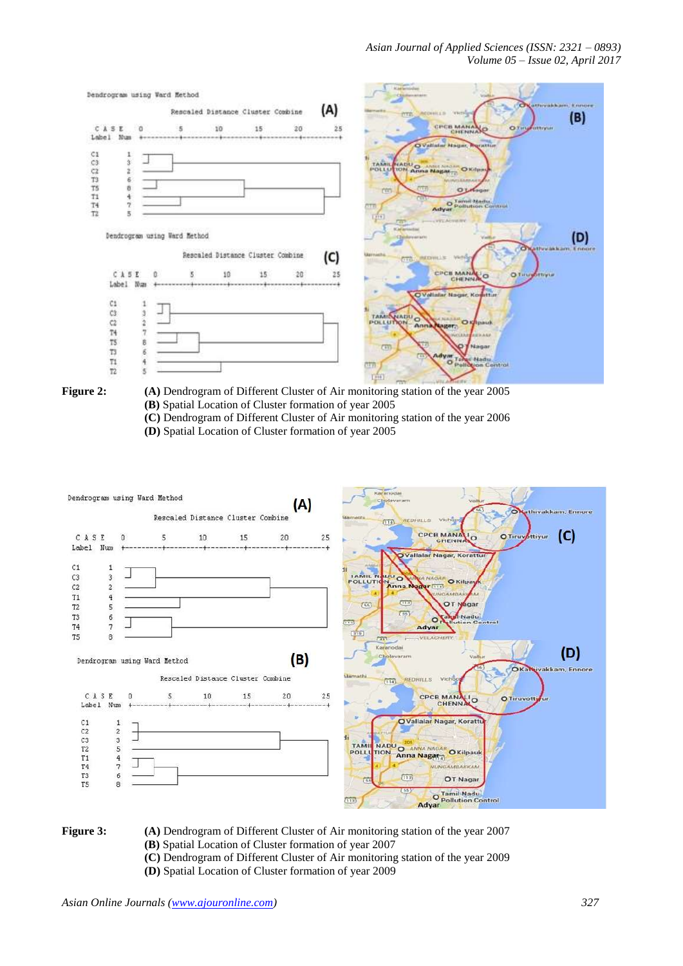

- Figure 2: (A) Dendrogram of Different Cluster of Air monitoring station of the year 2005 **(B)** Spatial Location of Cluster formation of year 2005
	- **(C)** Dendrogram of Different Cluster of Air monitoring station of the year 2006
	- **(D)** Spatial Location of Cluster formation of year 2005





- **Figure 3:** (A) Dendrogram of Different Cluster of Air monitoring station of the year 2007 **(B)** Spatial Location of Cluster formation of year 2007
	- **(C)** Dendrogram of Different Cluster of Air monitoring station of the year 2009
	- **(D)** Spatial Location of Cluster formation of year 2009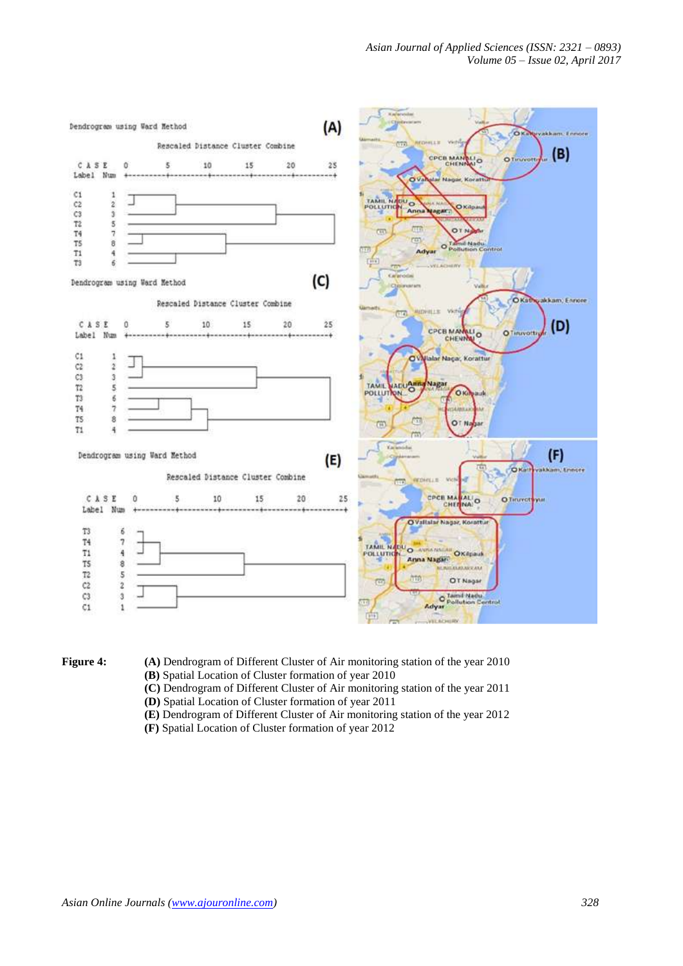



- **Figure 4:** (A) Dendrogram of Different Cluster of Air monitoring station of the year 2010 **(B)** Spatial Location of Cluster formation of year 2010
	- **(C)** Dendrogram of Different Cluster of Air monitoring station of the year 2011
	- **(D)** Spatial Location of Cluster formation of year 2011
	- **(E)** Dendrogram of Different Cluster of Air monitoring station of the year 2012
	- **(F)** Spatial Location of Cluster formation of year 2012